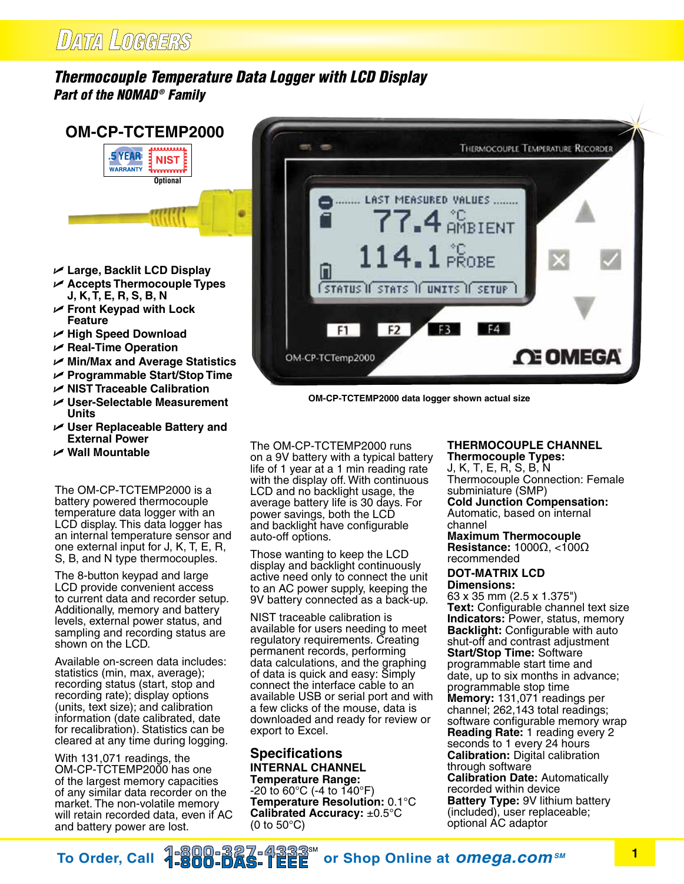## DATA LOGGERS

**5 YEAR** 

**WARRANTY** 

### *Thermocouple Temperature Data Logger with LCD Display Part of the NOMAD ® Family*



**OM-CP-TCTEMP2000 data logger shown actual size**

U **Large, Backlit LCD Display** 

- U **Accepts Thermocouple Types J, K, T, E, R, S, B, N**
- U **Front Keypad with Lock Feature**
- U **High Speed Download**
- U **Real-Time Operation**
- U **Min/Max and Average Statistics**
- U **Programmable Start/Stop Time**
- U **NIST Traceable Calibration**
- U **User-Selectable Measurement Units**
- U **User Replaceable Battery and External Power**
- U **Wall Mountable**

The OM-CP-TCTEMP2000 is a battery powered thermocouple temperature data logger with an LCD display. This data logger has an internal temperature sensor and one external input for J, K, T, E, R, S, B, and N type thermocouples.

The 8-button keypad and large LCD provide convenient access to current data and recorder setup. Additionally, memory and battery levels, external power status, and sampling and recording status are shown on the LCD.

Available on-screen data includes: statistics (min, max, average); recording status (start, stop and recording rate); display options (units, text size); and calibration information (date calibrated, date for recalibration). Statistics can be cleared at any time during logging.

With 131,071 readings, the OM-CP-TCTEMP2000 has one of the largest memory capacities of any similar data recorder on the market. The non-volatile memory will retain recorded data, even if AC and battery power are lost.

The OM-CP-TCTEMP2000 runs on a 9V battery with a typical battery life of 1 year at a 1 min reading rate with the display off. With continuous LCD and no backlight usage, the average battery life is 30 days. For power savings, both the LCD and backlight have configurable auto-off options.

Those wanting to keep the LCD display and backlight continuously active need only to connect the unit to an AC power supply, keeping the 9V battery connected as a back-up.

NIST traceable calibration is available for users needing to meet regulatory requirements. Creating permanent records, performing data calculations, and the graphing of data is quick and easy: Simply connect the interface cable to an available USB or serial port and with a few clicks of the mouse, data is downloaded and ready for review or export to Excel.

### **Specifications Internal Channel Temperature Range:**

-20 to 60°C (-4 to 140°F) **Temperature Resolution:** 0.1°C **Calibrated Accuracy:** ±0.5°C (0 to 50°C)

## **Thermocouple Channel**

**Thermocouple Types:** J, K, T, E, R, S, B, N Thermocouple Connection: Female subminiature (SMP) **Cold Junction Compensation:**

Automatic, based on internal channel

#### **Maximum Thermocouple Resistance:** 1000Ω, <100Ω recommended

### **DOT-MATRIX LCD Dimensions:**

63 x 35 mm (2.5 x 1.375") **Text:** Configurable channel text size **Indicators:** Power, status, memory **Backlight:** Configurable with auto shut-off and contrast adjustment **Start/Stop Time:** Software programmable start time and date, up to six months in advance; programmable stop time **Memory:** 131,071 readings per channel; 262,143 total readings; software configurable memory wrap **Reading Rate:** 1 reading every 2 seconds to 1 every 24 hours **Calibration:** Digital calibration through software **Calibration Date:** Automatically recorded within device **Battery Type:** 9V lithium battery (included), user replaceable; optional AC adaptor